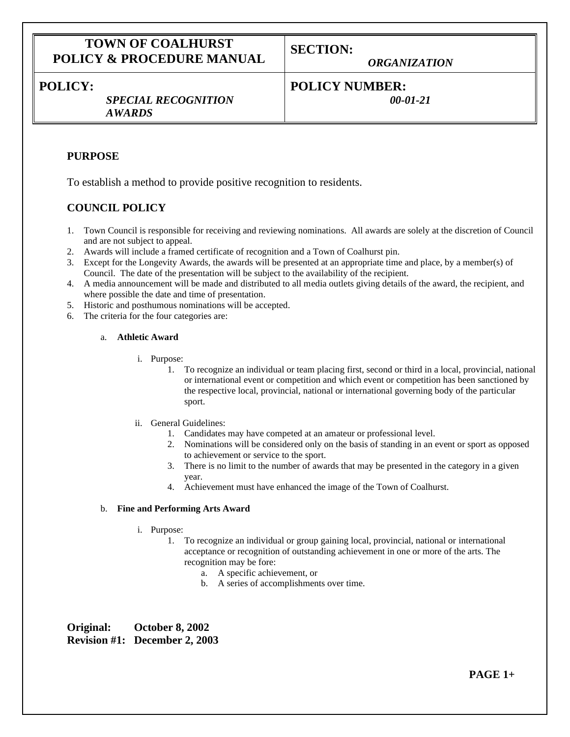# **TOWN OF COALHURST POLICY & PROCEDURE MANUAL**

**SECTION:**

*ORGANIZATION*

# **POLICY:**

*SPECIAL RECOGNITION AWARDS*

# **POLICY NUMBER:**

*00-01-21*

## **PURPOSE**

To establish a method to provide positive recognition to residents.

## **COUNCIL POLICY**

- 1. Town Council is responsible for receiving and reviewing nominations. All awards are solely at the discretion of Council and are not subject to appeal.
- 2. Awards will include a framed certificate of recognition and a Town of Coalhurst pin.
- 3. Except for the Longevity Awards, the awards will be presented at an appropriate time and place, by a member(s) of Council. The date of the presentation will be subject to the availability of the recipient.
- 4. A media announcement will be made and distributed to all media outlets giving details of the award, the recipient, and where possible the date and time of presentation.
- 5. Historic and posthumous nominations will be accepted.
- 6. The criteria for the four categories are:

### a. **Athletic Award**

- i. Purpose:
	- 1. To recognize an individual or team placing first, second or third in a local, provincial, national or international event or competition and which event or competition has been sanctioned by the respective local, provincial, national or international governing body of the particular sport.
- ii. General Guidelines:
	- 1. Candidates may have competed at an amateur or professional level.
	- 2. Nominations will be considered only on the basis of standing in an event or sport as opposed to achievement or service to the sport.
	- 3. There is no limit to the number of awards that may be presented in the category in a given year.
	- 4. Achievement must have enhanced the image of the Town of Coalhurst.

## b. **Fine and Performing Arts Award**

- i. Purpose:
	- 1. To recognize an individual or group gaining local, provincial, national or international acceptance or recognition of outstanding achievement in one or more of the arts. The recognition may be fore:
		- a. A specific achievement, or
		- b. A series of accomplishments over time.

**Original: October 8, 2002 Revision #1: December 2, 2003**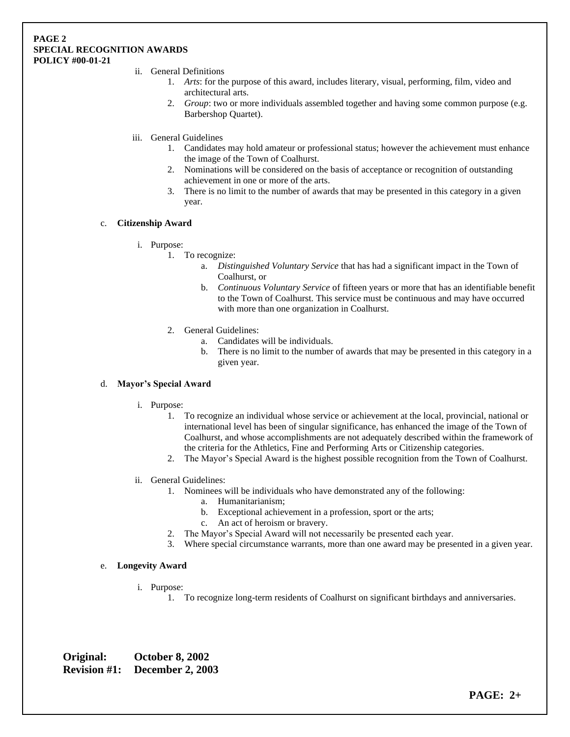#### **PAGE 2 SPECIAL RECOGNITION AWARDS POLICY #00-01-21**

- ii. General Definitions
	- 1. *Arts*: for the purpose of this award, includes literary, visual, performing, film, video and architectural arts.
	- 2. *Group*: two or more individuals assembled together and having some common purpose (e.g. Barbershop Quartet).
- iii. General Guidelines
	- 1. Candidates may hold amateur or professional status; however the achievement must enhance the image of the Town of Coalhurst.
	- 2. Nominations will be considered on the basis of acceptance or recognition of outstanding achievement in one or more of the arts.
	- 3. There is no limit to the number of awards that may be presented in this category in a given year.

## c. **Citizenship Award**

- i. Purpose:
	- 1. To recognize:
		- a. *Distinguished Voluntary Service* that has had a significant impact in the Town of Coalhurst, or
		- b. *Continuous Voluntary Service* of fifteen years or more that has an identifiable benefit to the Town of Coalhurst. This service must be continuous and may have occurred with more than one organization in Coalhurst.
		- 2. General Guidelines:
			- a. Candidates will be individuals.
			- b. There is no limit to the number of awards that may be presented in this category in a given year.

#### d. **Mayor's Special Award**

- i. Purpose:
	- 1. To recognize an individual whose service or achievement at the local, provincial, national or international level has been of singular significance, has enhanced the image of the Town of Coalhurst, and whose accomplishments are not adequately described within the framework of the criteria for the Athletics, Fine and Performing Arts or Citizenship categories.
	- 2. The Mayor's Special Award is the highest possible recognition from the Town of Coalhurst.
- ii. General Guidelines:
	- 1. Nominees will be individuals who have demonstrated any of the following:
		- a. Humanitarianism;
		- b. Exceptional achievement in a profession, sport or the arts;
		- c. An act of heroism or bravery.
	- 2. The Mayor's Special Award will not necessarily be presented each year.
	- 3. Where special circumstance warrants, more than one award may be presented in a given year.

#### e. **Longevity Award**

- i. Purpose:
	- 1. To recognize long-term residents of Coalhurst on significant birthdays and anniversaries.

**Original: October 8, 2002 Revision #1: December 2, 2003**

**PAGE: 2+**